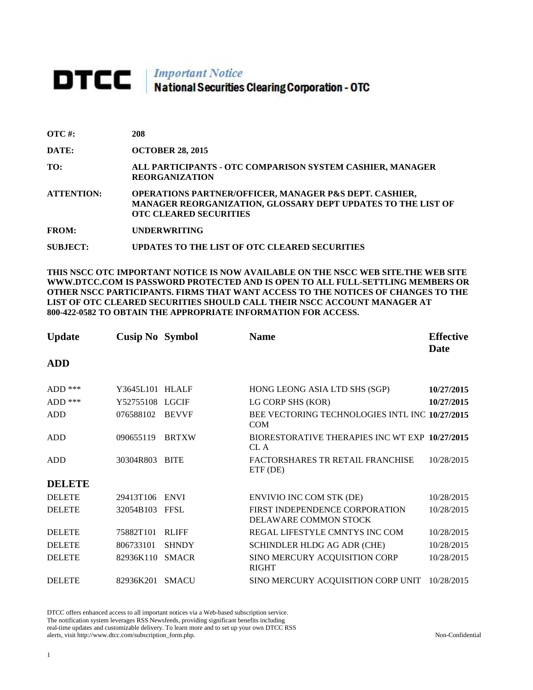## **DTCC** National Securities Clearing Corporation - OTC

| $\overline{OTC}$ #: | 208                                                                                                                                                     |
|---------------------|---------------------------------------------------------------------------------------------------------------------------------------------------------|
| DATE:               | <b>OCTOBER 28, 2015</b>                                                                                                                                 |
| TO:                 | ALL PARTICIPANTS - OTC COMPARISON SYSTEM CASHIER, MANAGER<br><b>REORGANIZATION</b>                                                                      |
| <b>ATTENTION:</b>   | OPERATIONS PARTNER/OFFICER, MANAGER P&S DEPT. CASHIER,<br>MANAGER REORGANIZATION, GLOSSARY DEPT UPDATES TO THE LIST OF<br><b>OTC CLEARED SECURITIES</b> |
| <b>FROM:</b>        | <b>UNDERWRITING</b>                                                                                                                                     |
| <b>SUBJECT:</b>     | UPDATES TO THE LIST OF OTC CLEARED SECURITIES                                                                                                           |

**THIS NSCC OTC IMPORTANT NOTICE IS NOW AVAILABLE ON THE NSCC WEB SITE.THE WEB SITE WWW.DTCC.COM IS PASSWORD PROTECTED AND IS OPEN TO ALL FULL-SETTLING MEMBERS OR OTHER NSCC PARTICIPANTS. FIRMS THAT WANT ACCESS TO THE NOTICES OF CHANGES TO THE LIST OF OTC CLEARED SECURITIES SHOULD CALL THEIR NSCC ACCOUNT MANAGER AT 800-422-0582 TO OBTAIN THE APPROPRIATE INFORMATION FOR ACCESS.** 

| <b>Update</b> | <b>Cusip No Symbol</b> |              | <b>Name</b>                                                    | <b>Effective</b> |
|---------------|------------------------|--------------|----------------------------------------------------------------|------------------|
| <b>ADD</b>    |                        |              |                                                                | <b>Date</b>      |
|               |                        |              |                                                                |                  |
| $ADD$ ***     | Y3645L101 HLALF        |              | HONG LEONG ASIA LTD SHS (SGP)                                  | 10/27/2015       |
| $ADD$ ***     | Y52755108              | <b>LGCIF</b> | LG CORP SHS (KOR)                                              | 10/27/2015       |
| <b>ADD</b>    | 076588102              | <b>BEVVF</b> | BEE VECTORING TECHNOLOGIES INTL INC 10/27/2015<br><b>COM</b>   |                  |
| <b>ADD</b>    | 090655119              | <b>BRTXW</b> | BIORESTORATIVE THERAPIES INC WT EXP 10/27/2015<br>CL A         |                  |
| <b>ADD</b>    | 30304R803              | <b>BITE</b>  | FACTORSHARES TR RETAIL FRANCHISE<br>ETF (DE)                   | 10/28/2015       |
| <b>DELETE</b> |                        |              |                                                                |                  |
| <b>DELETE</b> | 29413T106              | <b>ENVI</b>  | <b>ENVIVIO INC COM STK (DE)</b>                                | 10/28/2015       |
| <b>DELETE</b> | 32054B103              | <b>FFSL</b>  | FIRST INDEPENDENCE CORPORATION<br><b>DELAWARE COMMON STOCK</b> | 10/28/2015       |
| <b>DELETE</b> | 75882T101              | <b>RLIFF</b> | REGAL LIFESTYLE CMNTYS INC COM                                 | 10/28/2015       |
| <b>DELETE</b> | 806733101              | <b>SHNDY</b> | SCHINDLER HLDG AG ADR (CHE)                                    | 10/28/2015       |
| <b>DELETE</b> | 82936K110              | <b>SMACR</b> | SINO MERCURY ACQUISITION CORP<br><b>RIGHT</b>                  | 10/28/2015       |
| <b>DELETE</b> | 82936K201              | <b>SMACU</b> | SINO MERCURY ACQUISITION CORP UNIT                             | 10/28/2015       |

DTCC offers enhanced access to all important notices via a Web-based subscription service. The notification system leverages RSS Newsfeeds, providing significant benefits including real-time updates and customizable delivery. To learn more and to set up your own DTCC RSS alerts, visit http://www.dtcc.com/subscription\_form.php. Non-Confidential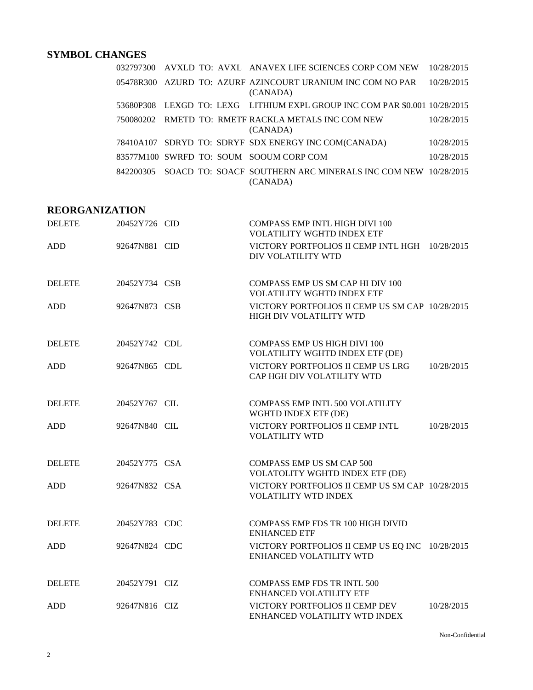## **SYMBOL CHANGES**

|           |  | 032797300 AVXLD TO: AVXL ANAVEX LIFE SCIENCES CORP COM NEW                 | 10/28/2015 |
|-----------|--|----------------------------------------------------------------------------|------------|
|           |  | 05478R300 AZURD TO: AZURF AZINCOURT URANIUM INC COM NO PAR<br>(CANADA)     | 10/28/2015 |
|           |  | 53680P308 LEXGD TO: LEXG LITHIUM EXPL GROUP INC COM PAR \$0.001 10/28/2015 |            |
| 750080202 |  | RMETD TO: RMETF RACKLA METALS INC COM NEW<br>(CANADA)                      | 10/28/2015 |
|           |  | 78410A107 SDRYD TO: SDRYF SDX ENERGY INC COM(CANADA)                       | 10/28/2015 |
|           |  | 83577M100 SWRFD TO: SOUM SOOUM CORP COM                                    | 10/28/2015 |
| 842200305 |  | SOACD TO: SOACF SOUTHERN ARC MINERALS INC COM NEW 10/28/2015<br>(CANADA)   |            |

## **REORGANIZATION**

| <b>DELETE</b> | 20452Y726 CID | <b>COMPASS EMP INTL HIGH DIVI 100</b><br><b>VOLATILITY WGHTD INDEX ETF</b> |            |
|---------------|---------------|----------------------------------------------------------------------------|------------|
| ADD           | 92647N881 CID | VICTORY PORTFOLIOS II CEMP INTL HGH 10/28/2015<br>DIV VOLATILITY WTD       |            |
| <b>DELETE</b> | 20452Y734 CSB | COMPASS EMP US SM CAP HI DIV 100<br><b>VOLATILITY WGHTD INDEX ETF</b>      |            |
| <b>ADD</b>    | 92647N873 CSB | VICTORY PORTFOLIOS II CEMP US SM CAP 10/28/2015<br>HIGH DIV VOLATILITY WTD |            |
| <b>DELETE</b> | 20452Y742 CDL | COMPASS EMP US HIGH DIVI 100<br>VOLATILITY WGHTD INDEX ETF (DE)            |            |
| <b>ADD</b>    | 92647N865 CDL | VICTORY PORTFOLIOS II CEMP US LRG<br>CAP HGH DIV VOLATILITY WTD            | 10/28/2015 |
| <b>DELETE</b> | 20452Y767 CIL | <b>COMPASS EMP INTL 500 VOLATILITY</b><br>WGHTD INDEX ETF (DE)             |            |
| <b>ADD</b>    | 92647N840 CIL | VICTORY PORTFOLIOS II CEMP INTL<br><b>VOLATILITY WTD</b>                   | 10/28/2015 |
| <b>DELETE</b> | 20452Y775 CSA | <b>COMPASS EMP US SM CAP 500</b><br>VOLATOLITY WGHTD INDEX ETF (DE)        |            |
| <b>ADD</b>    | 92647N832 CSA | VICTORY PORTFOLIOS II CEMP US SM CAP 10/28/2015<br>VOLATILITY WTD INDEX    |            |
| <b>DELETE</b> | 20452Y783 CDC | COMPASS EMP FDS TR 100 HIGH DIVID<br><b>ENHANCED ETF</b>                   |            |
| ADD           | 92647N824 CDC | VICTORY PORTFOLIOS II CEMP US EQ INC 10/28/2015<br>ENHANCED VOLATILITY WTD |            |
| <b>DELETE</b> | 20452Y791 CIZ | <b>COMPASS EMP FDS TR INTL 500</b><br><b>ENHANCED VOLATILITY ETF</b>       |            |
| <b>ADD</b>    | 92647N816 CIZ | VICTORY PORTFOLIOS II CEMP DEV<br>ENHANCED VOLATILITY WTD INDEX            | 10/28/2015 |

Non-Confidential